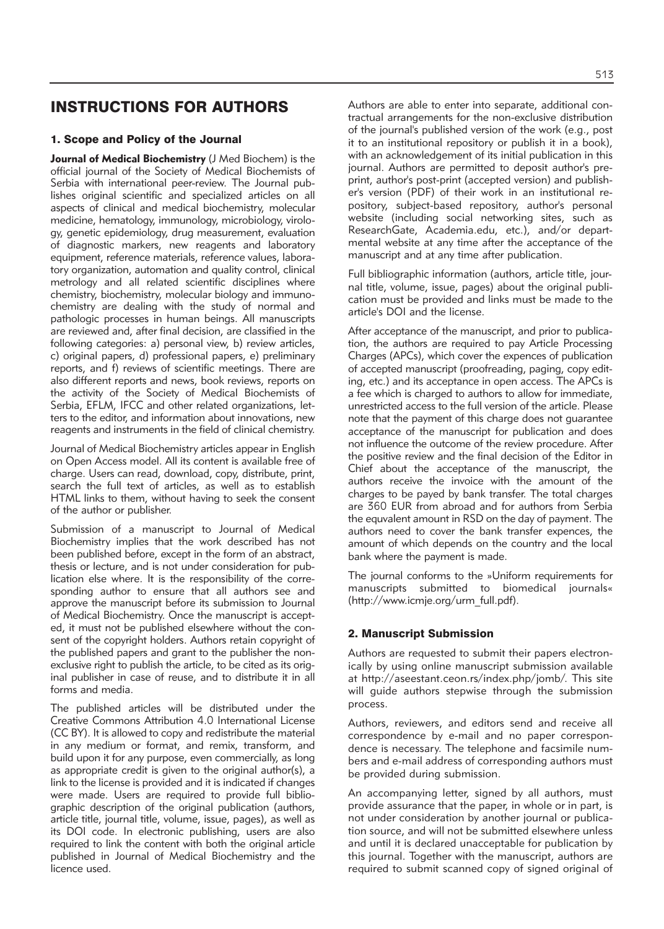# INSTRUCTIONS FOR AUTHORS

# 1. Scope and Policy of the Journal

**Journal of Medical Biochemistry** (J Med Biochem) is the official journal of the Society of Medical Biochemists of Serbia with international peer-review. The Journal publishes original scientific and specialized articles on all aspects of clinical and medical biochemistry, molecular medicine, hematology, immunology, microbiology, virology, genetic epidemiology, drug measurement, evaluation of diagnostic markers, new reagents and laboratory equipment, reference materials, reference values, laboratory organization, automation and quality control, clinical metrology and all related scientific disciplines where chemistry, biochemistry, molecular biology and immunochemistry are dealing with the study of normal and pathologic processes in human beings. All manuscripts are reviewed and, after final decision, are classified in the following categories: a) personal view, b) review articles, c) original papers, d) professional papers, e) preliminary reports, and f) reviews of scientific meetings. There are also different reports and news, book reviews, reports on the activity of the Society of Medical Biochemists of Serbia, EFLM, IFCC and other related organizations, letters to the editor, and information about innovations, new reagents and instruments in the field of clinical chemistry.

Journal of Medical Biochemistry articles appear in English on Open Access model. All its content is available free of charge. Users can read, download, copy, distribute, print, search the full text of articles, as well as to establish HTML links to them, without having to seek the consent of the author or publisher.

Submission of a manuscript to Journal of Medical Biochemistry implies that the work described has not been published before, except in the form of an abstract, thesis or lecture, and is not under consideration for publication else where. It is the responsibility of the corresponding author to ensure that all authors see and approve the manuscript before its submission to Journal of Medical Biochemistry. Once the manuscript is accepted, it must not be published elsewhere without the consent of the copyright holders. Authors retain copyright of the published papers and grant to the publisher the nonexclusive right to publish the article, to be cited as its original publisher in case of reuse, and to distribute it in all forms and media.

The published articles will be distributed under the Creative Commons Attribution 4.0 International License (CC BY). It is allowed to copy and redistribute the material in any medium or format, and remix, transform, and build upon it for any purpose, even commercially, as long as appropriate credit is given to the original author(s), a link to the license is provided and it is indicated if changes were made. Users are required to provide full bibliographic description of the original publication (authors, article title, journal title, volume, issue, pages), as well as its DOI code. In electronic publishing, users are also required to link the content with both the original article published in Journal of Medical Biochemistry and the licence used.

Authors are able to enter into separate, additional contractual arrangements for the non-exclusive distribution of the journal's published version of the work (e.g., post it to an institutional repository or publish it in a book), with an acknowledgement of its initial publication in this journal. Authors are permitted to deposit author's preprint, author's post-print (accepted version) and publisher's version (PDF) of their work in an institutional repository, subject-based repository, author's personal website (including social networking sites, such as ResearchGate, Academia.edu, etc.), and/or departmental website at any time after the acceptance of the manuscript and at any time after publication.

Full bibliographic information (authors, article title, journal title, volume, issue, pages) about the original publication must be provided and links must be made to the article's DOI and the license.

After acceptance of the manuscript, and prior to publication, the authors are required to pay Article Processing Charges (APCs), which cover the expences of publication of accepted manuscript (proofreading, paging, copy editing, etc.) and its acceptance in open access. The APCs is a fee which is charged to authors to allow for immediate, unrestricted access to the full version of the article. Please note that the payment of this charge does not guarantee acceptance of the manuscript for publication and does not influence the outcome of the review procedure. After the positive review and the final decision of the Editor in Chief about the acceptance of the manuscript, the authors receive the invoice with the amount of the charges to be payed by bank transfer. The total charges are 360 EUR from abroad and for authors from Serbia the equvalent amount in RSD on the day of payment. The authors need to cover the bank transfer expences, the amount of which depends on the country and the local bank where the payment is made.

The journal conforms to the »Uniform requirements for manuscripts submitted to biomedical journals« (http://www.icmje.org/urm\_full.pdf).

#### 2. Manuscript Submission

Authors are requested to submit their papers electronically by using online manuscript submission available at http://aseestant.ceon.rs/index.php/jomb/. This site will guide authors stepwise through the submission process.

Authors, reviewers, and editors send and receive all correspondence by e-mail and no paper correspondence is necessary. The telephone and facsimile numbers and e-mail address of corresponding authors must be provided during submission.

An accompanying letter, signed by all authors, must provide assurance that the paper, in whole or in part, is not under consideration by another journal or publication source, and will not be submitted elsewhere unless and until it is declared unacceptable for publication by this journal. Together with the manuscript, authors are required to submit scanned copy of signed original of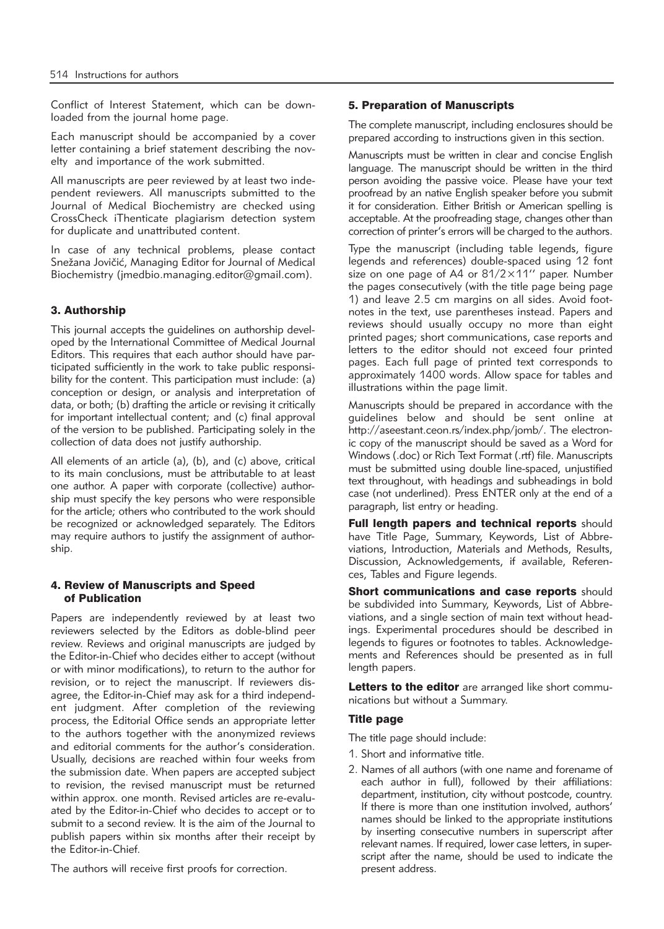Conflict of Interest Statement, which can be downloaded from the journal home page.

Each manuscript should be accompanied by a cover letter containing a brief statement describing the novelty and importance of the work submitted.

All manuscripts are peer reviewed by at least two independent reviewers. All manuscripts submitted to the Journal of Medical Biochemistry are checked using CrossCheck iThenticate plagiarism detection system for duplicate and unattributed content.

In case of any technical problems, please contact Snežana Jovičić, Managing Editor for Journal of Medical Biochemistry (jmedbio.managing.editor@gmail.com).

# 3. Authorship

This journal accepts the guidelines on authorship developed by the International Committee of Medical Journal Editors. This requires that each author should have participated sufficiently in the work to take public responsibility for the content. This participation must include: (a) conception or design, or analysis and interpretation of data, or both; (b) drafting the article or revising it critically for important intellectual content; and (c) final approval of the version to be published. Participating solely in the collection of data does not justify authorship.

All elements of an article (a), (b), and (c) above, critical to its main conclusions, must be attributable to at least one author. A paper with corporate (collective) authorship must specify the key persons who were responsible for the article; others who contributed to the work should be recognized or acknowledged separately. The Editors may require authors to justify the assignment of authorship.

#### 4. Review of Manuscripts and Speed of Publication

Papers are independently reviewed by at least two reviewers selected by the Editors as doble-blind peer review. Reviews and original manuscripts are judged by the Editor-in-Chief who decides either to accept (without or with minor modifications), to return to the author for revision, or to reject the manuscript. If reviewers disagree, the Editor-in-Chief may ask for a third independent judgment. After completion of the reviewing process, the Editorial Office sends an appropriate letter to the authors together with the anonymized reviews and editorial comments for the author's consideration. Usually, decisions are reached within four weeks from the submission date. When papers are accepted subject to revision, the revised manuscript must be returned within approx. one month. Revised articles are re-evaluated by the Editor-in-Chief who decides to accept or to submit to a second review. It is the aim of the Journal to publish papers within six months after their receipt by the Editor-in-Chief.

The authors will receive first proofs for correction.

#### 5. Preparation of Manuscripts

The complete manuscript, including enclosures should be prepared according to instructions given in this section.

Manuscripts must be written in clear and concise English language. The manuscript should be written in the third person avoiding the passive voice. Please have your text proofread by an native English speaker before you submit it for consideration. Either British or American spelling is acceptable. At the proofreading stage, changes other than correction of printer's errors will be charged to the authors.

Type the manuscript (including table legends, figure legends and references) double-spaced using 12 font size on one page of A4 or 81/2×11'' paper. Number the pages consecutively (with the title page being page 1) and leave 2.5 cm margins on all sides. Avoid footnotes in the text, use parentheses instead. Papers and reviews should usually occupy no more than eight printed pages; short communications, case reports and letters to the editor should not exceed four printed pages. Each full page of printed text corresponds to approximately 1400 words. Allow space for tables and illustrations within the page limit.

Manuscripts should be prepared in accordance with the guidelines below and should be sent online at http://aseestant.ceon.rs/index.php/jomb/. The electronic copy of the manuscript should be saved as a Word for Windows (.doc) or Rich Text Format (.rtf) file. Manuscripts must be submitted using double line-spaced, unjustified text throughout, with headings and subheadings in bold case (not underlined). Press ENTER only at the end of a paragraph, list entry or heading.

Full length papers and technical reports should have Title Page, Summary, Keywords, List of Abbreviations, Introduction, Materials and Methods, Results, Discussion, Acknowledgements, if available, References, Tables and Figure legends.

Short communications and case reports should be subdivided into Summary, Keywords, List of Abbreviations, and a single section of main text without headings. Experimental procedures should be described in legends to figures or footnotes to tables. Acknowledgements and References should be presented as in full length papers.

Letters to the editor are arranged like short communications but without a Summary.

## Title page

The title page should include:

- 1. Short and informative title.
- 2. Names of all authors (with one name and forename of each author in full), followed by their affiliations: department, institution, city without postcode, country. If there is more than one institution involved, authors' names should be linked to the appropriate institutions by inserting consecutive numbers in superscript after relevant names. If required, lower case letters, in superscript after the name, should be used to indicate the present address.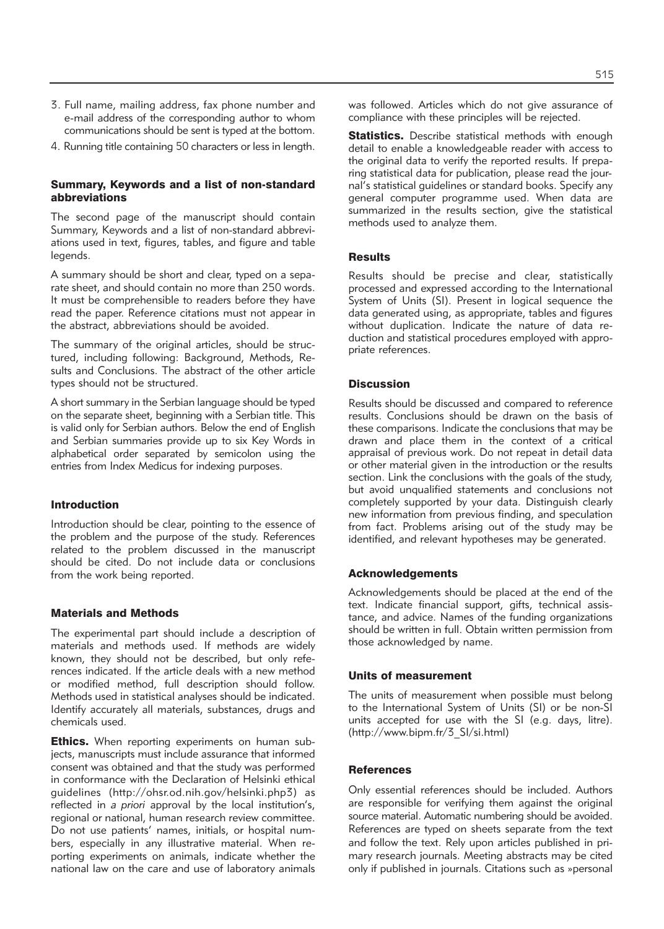- 3. Full name, mailing address, fax phone number and e-mail address of the corresponding author to whom communications should be sent is typed at the bottom.
- 4. Running title containing 50 characters or less in length.

#### Summary, Keywords and a list of non-standard abbreviations

The second page of the manuscript should contain Summary, Keywords and a list of non-standard abbreviations used in text, figures, tables, and figure and table legends.

A summary should be short and clear, typed on a separate sheet, and should contain no more than 250 words. It must be comprehensible to readers before they have read the paper. Reference citations must not appear in the abstract, abbreviations should be avoided.

The summary of the original articles, should be structured, including following: Background, Methods, Results and Conclusions. The abstract of the other article types should not be structured.

A short summary in the Serbian language should be typed on the separate sheet, beginning with a Serbian title. This is valid only for Serbian authors. Below the end of English and Serbian summaries provide up to six Key Words in alphabetical order separated by semicolon using the entries from Index Medicus for indexing purposes.

#### Introduction

Introduction should be clear, pointing to the essence of the problem and the purpose of the study. References related to the problem discussed in the manuscript should be cited. Do not include data or conclusions from the work being reported.

#### Materials and Methods

The experimental part should include a description of materials and methods used. If methods are widely known, they should not be described, but only references indicated. If the article deals with a new method or modified method, full description should follow. Methods used in statistical analyses should be indicated. Identify accurately all materials, substances, drugs and chemicals used.

**Ethics.** When reporting experiments on human subjects, manuscripts must include assurance that informed consent was obtained and that the study was performed in conformance with the Declaration of Helsinki ethical guidelines (http://ohsr.od.nih.gov/helsinki.php3) as reflected in *a priori* approval by the local institution's, regional or national, human research review committee. Do not use patients' names, initials, or hospital numbers, especially in any illustrative material. When reporting experiments on animals, indicate whether the national law on the care and use of laboratory animals was followed. Articles which do not give assurance of compliance with these principles will be rejected.

Statistics. Describe statistical methods with enough detail to enable a knowledgeable reader with access to the original data to verify the reported results. If preparing statistical data for publication, please read the journal's statistical guidelines or standard books. Specify any general computer programme used. When data are summarized in the results section, give the statistical methods used to analyze them.

#### **Results**

Results should be precise and clear, statistically processed and expressed according to the International System of Units (SI). Present in logical sequence the data generated using, as appropriate, tables and figures without duplication. Indicate the nature of data reduction and statistical procedures employed with appropriate references.

#### **Discussion**

Results should be discussed and compared to reference results. Conclusions should be drawn on the basis of these comparisons. Indicate the conclusions that may be drawn and place them in the context of a critical appraisal of previous work. Do not repeat in detail data or other material given in the introduction or the results section. Link the conclusions with the goals of the study, but avoid unqualified statements and conclusions not completely supported by your data. Distinguish clearly new information from previous finding, and speculation from fact. Problems arising out of the study may be identified, and relevant hypotheses may be generated.

#### Acknowledgements

Acknowledgements should be placed at the end of the text. Indicate financial support, gifts, technical assistance, and advice. Names of the funding organizations should be written in full. Obtain written permission from those acknowledged by name.

#### Units of measurement

The units of measurement when possible must belong to the International System of Units (SI) or be non-SI units accepted for use with the SI (e.g. days, litre). (http://www.bipm.fr/3\_SI/si.html)

#### **References**

Only essential references should be included. Authors are responsible for verifying them against the original source material. Automatic numbering should be avoided. References are typed on sheets separate from the text and follow the text. Rely upon articles published in primary research journals. Meeting abstracts may be cited only if published in journals. Citations such as »personal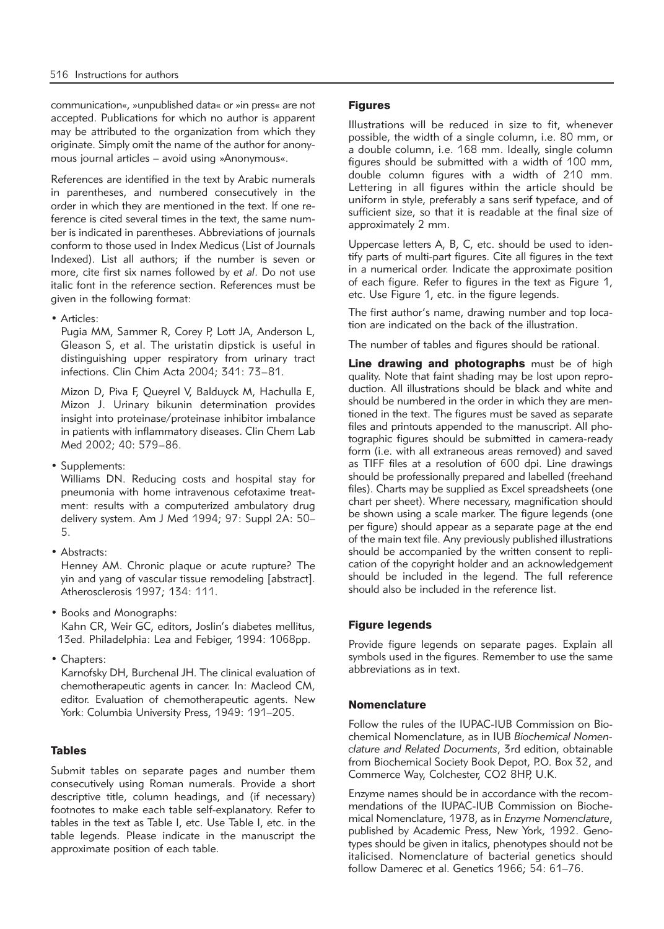communication«, »unpublished data« or »in press« are not accepted. Publications for which no author is apparent may be attributed to the organization from which they originate. Simply omit the name of the author for anonymous journal articles – avoid using »Anonymous«.

References are identified in the text by Arabic numerals in parentheses, and numbered consecutively in the order in which they are mentioned in the text. If one reference is cited several times in the text, the same number is indicated in parentheses. Abbreviations of journals conform to those used in Index Medicus (List of Journals Indexed). List all authors; if the number is seven or more, cite first six names followed by *et al*. Do not use italic font in the reference section. References must be given in the following format:

• Articles:

Pugia MM, Sammer R, Corey P, Lott JA, Anderson L, Gleason S, et al. The uristatin dipstick is useful in distinguishing upper respiratory from urinary tract infections. Clin Chim Acta 2004; 341: 73–81.

Mizon D, Piva F, Queyrel V, Balduyck M, Hachulla E, Mizon J. Urinary bikunin determination provides insight into proteinase/proteinase inhibitor imbalance in patients with inflammatory diseases. Clin Chem Lab Med 2002; 40: 579–86.

• Supplements:

Williams DN. Reducing costs and hospital stay for pneumonia with home intravenous cefotaxime treatment: results with a computerized ambulatory drug delivery system. Am J Med 1994; 97: Suppl 2A: 50– 5.

• Abstracts:

Henney AM. Chronic plaque or acute rupture? The yin and yang of vascular tissue remodeling [abstract]. Atherosclerosis 1997; 134: 111.

- Books and Monographs: Kahn CR, Weir GC, editors, Joslin's diabetes mellitus, 13ed. Philadelphia: Lea and Febiger, 1994: 1068pp.
- Chapters:

Karnofsky DH, Burchenal JH. The clinical evaluation of chemotherapeutic agents in cancer. In: Macleod CM, editor. Evaluation of chemotherapeutic agents. New York: Columbia University Press, 1949: 191–205.

# Tables

Submit tables on separate pages and number them consecutively using Roman numerals. Provide a short descriptive title, column headings, and (if necessary) footnotes to make each table self-explanatory. Refer to tables in the text as Table I, etc. Use Table I, etc. in the table legends. Please indicate in the manuscript the approximate position of each table.

#### **Figures**

Illustrations will be reduced in size to fit, whenever possible, the width of a single column, i.e. 80 mm, or a double column, i.e. 168 mm. Ideally, single column figures should be submitted with a width of 100 mm, double column figures with a width of 210 mm. Lettering in all figures within the article should be uniform in style, preferably a sans serif typeface, and of sufficient size, so that it is readable at the final size of approximately 2 mm.

Uppercase letters A, B, C, etc. should be used to identify parts of multi-part figures. Cite all figures in the text in a numerical order. Indicate the approximate position of each figure. Refer to figures in the text as Figure 1, etc. Use Figure 1, etc. in the figure legends.

The first author's name, drawing number and top location are indicated on the back of the illustration.

The number of tables and figures should be rational.

Line drawing and photographs must be of high quality. Note that faint shading may be lost upon reproduction. All illustrations should be black and white and should be numbered in the order in which they are mentioned in the text. The figures must be saved as separate files and printouts appended to the manuscript. All photographic figures should be submitted in camera-ready form (i.e. with all extraneous areas removed) and saved as TIFF files at a resolution of 600 dpi. Line drawings should be professionally prepared and labelled (freehand files). Charts may be supplied as Excel spreadsheets (one chart per sheet). Where necessary, magnification should be shown using a scale marker. The figure legends (one per figure) should appear as a separate page at the end of the main text file. Any previously published illustrations should be accompanied by the written consent to replication of the copyright holder and an acknowledgement should be included in the legend. The full reference should also be included in the reference list.

# Figure legends

Provide figure legends on separate pages. Explain all symbols used in the figures. Remember to use the same abbreviations as in text.

#### **Nomenclature**

Follow the rules of the IUPAC-IUB Commission on Biochemical Nomenclature, as in IUB *Biochemical Nomen clature and Related Documents*, 3rd edition, obtainable from Biochemical Society Book Depot, P.O. Box 32, and Commerce Way, Colchester, CO2 8HP, U.K.

Enzyme names should be in accordance with the recommendations of the IUPAC-IUB Commission on Biochemical Nomenclature, 1978, as in *Enzyme Nomenclature*, published by Academic Press, New York, 1992. Genotypes should be given in italics, phenotypes should not be italicised. Nomenclature of bacterial genetics should follow Damerec et al. Genetics 1966; 54: 61–76.